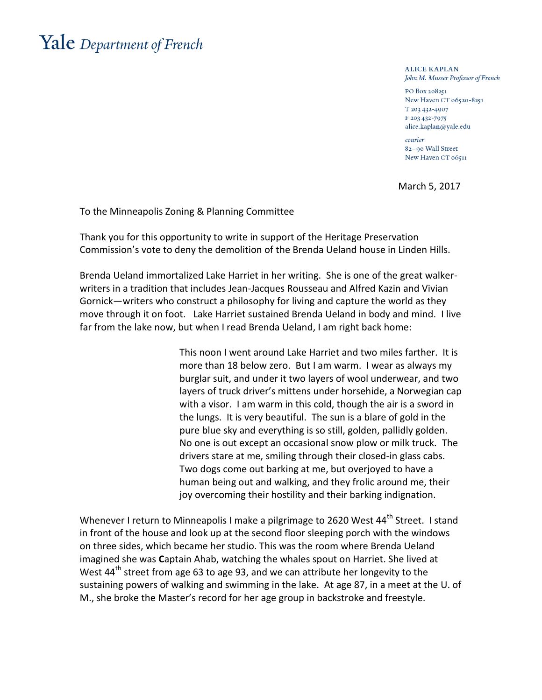## Yale Department of French

**ALICE KAPLAN** John M. Musser Professor of French

PO Box 208251 New Haven CT 06520-8251 T 203 432-4907 F 203 432-7975 alice.kaplan@yale.edu

courier 82-90 Wall Street New Haven CT 06511

March 5, 2017

To the Minneapolis Zoning & Planning Committee

Thank you for this opportunity to write in support of the Heritage Preservation Commission's vote to deny the demolition of the Brenda Ueland house in Linden Hills.

Brenda Ueland immortalized Lake Harriet in her writing. She is one of the great walkerwriters in a tradition that includes Jean-Jacques Rousseau and Alfred Kazin and Vivian Gornick—writers who construct a philosophy for living and capture the world as they move through it on foot. Lake Harriet sustained Brenda Ueland in body and mind. I live far from the lake now, but when I read Brenda Ueland, I am right back home:

> This noon I went around Lake Harriet and two miles farther. It is more than 18 below zero. But I am warm. I wear as always my burglar suit, and under it two layers of wool underwear, and two layers of truck driver's mittens under horsehide, a Norwegian cap with a visor. I am warm in this cold, though the air is a sword in the lungs. It is very beautiful. The sun is a blare of gold in the pure blue sky and everything is so still, golden, pallidly golden. No one is out except an occasional snow plow or milk truck. The drivers stare at me, smiling through their closed-in glass cabs. Two dogs come out barking at me, but overjoyed to have a human being out and walking, and they frolic around me, their joy overcoming their hostility and their barking indignation.

Whenever I return to Minneapolis I make a pilgrimage to 2620 West 44<sup>th</sup> Street. I stand in front of the house and look up at the second floor sleeping porch with the windows on three sides, which became her studio. This was the room where Brenda Ueland imagined she was **C**aptain Ahab, watching the whales spout on Harriet. She lived at West 44<sup>th</sup> street from age 63 to age 93, and we can attribute her longevity to the sustaining powers of walking and swimming in the lake. At age 87, in a meet at the U. of M., she broke the Master's record for her age group in backstroke and freestyle.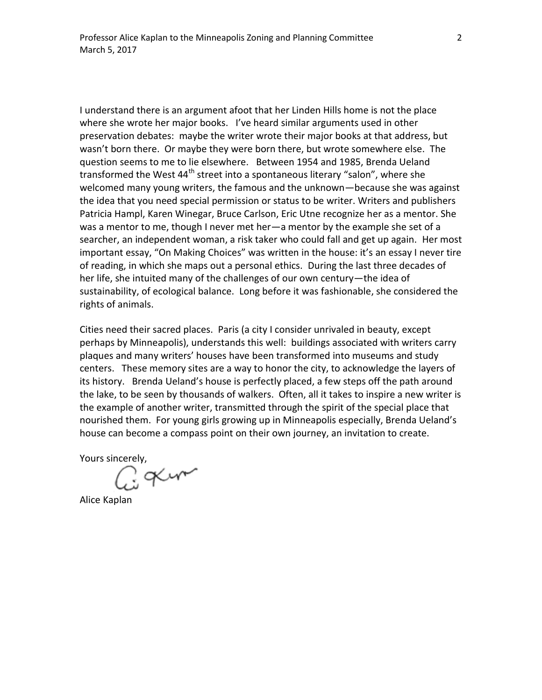I understand there is an argument afoot that her Linden Hills home is not the place where she wrote her major books. I've heard similar arguments used in other preservation debates: maybe the writer wrote their major books at that address, but wasn't born there. Or maybe they were born there, but wrote somewhere else. The question seems to me to lie elsewhere. Between 1954 and 1985, Brenda Ueland transformed the West 44<sup>th</sup> street into a spontaneous literary "salon", where she welcomed many young writers, the famous and the unknown—because she was against the idea that you need special permission or status to be writer. Writers and publishers Patricia Hampl, Karen Winegar, Bruce Carlson, Eric Utne recognize her as a mentor. She was a mentor to me, though I never met her—a mentor by the example she set of a searcher, an independent woman, a risk taker who could fall and get up again. Her most important essay, "On Making Choices" was written in the house: it's an essay I never tire of reading, in which she maps out a personal ethics. During the last three decades of her life, she intuited many of the challenges of our own century—the idea of sustainability, of ecological balance. Long before it was fashionable, she considered the rights of animals.

Cities need their sacred places. Paris (a city I consider unrivaled in beauty, except perhaps by Minneapolis), understands this well: buildings associated with writers carry plaques and many writers' houses have been transformed into museums and study centers. These memory sites are a way to honor the city, to acknowledge the layers of its history. Brenda Ueland's house is perfectly placed, a few steps off the path around the lake, to be seen by thousands of walkers. Often, all it takes to inspire a new writer is the example of another writer, transmitted through the spirit of the special place that nourished them. For young girls growing up in Minneapolis especially, Brenda Ueland's house can become a compass point on their own journey, an invitation to create.

Yours sincerely,

Goxum

Alice Kaplan